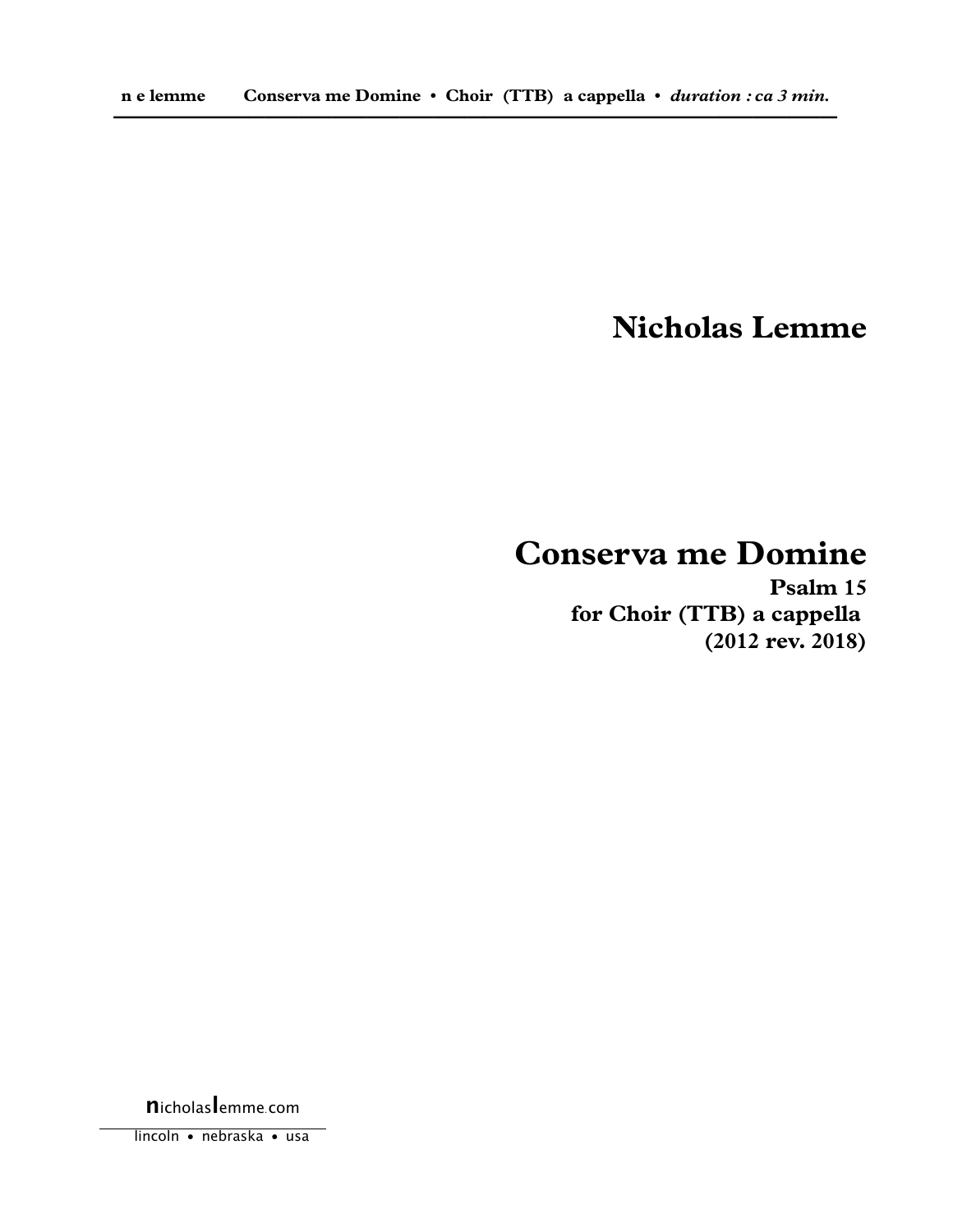**Nicholas Lemme**

## **Conserva me Domine**

**Psalm 15 for Choir (TTB) a cappella (2012 rev. 2018)**

**<sup>n</sup>**icholas**l**emme.com

lincoln • nebraska • usa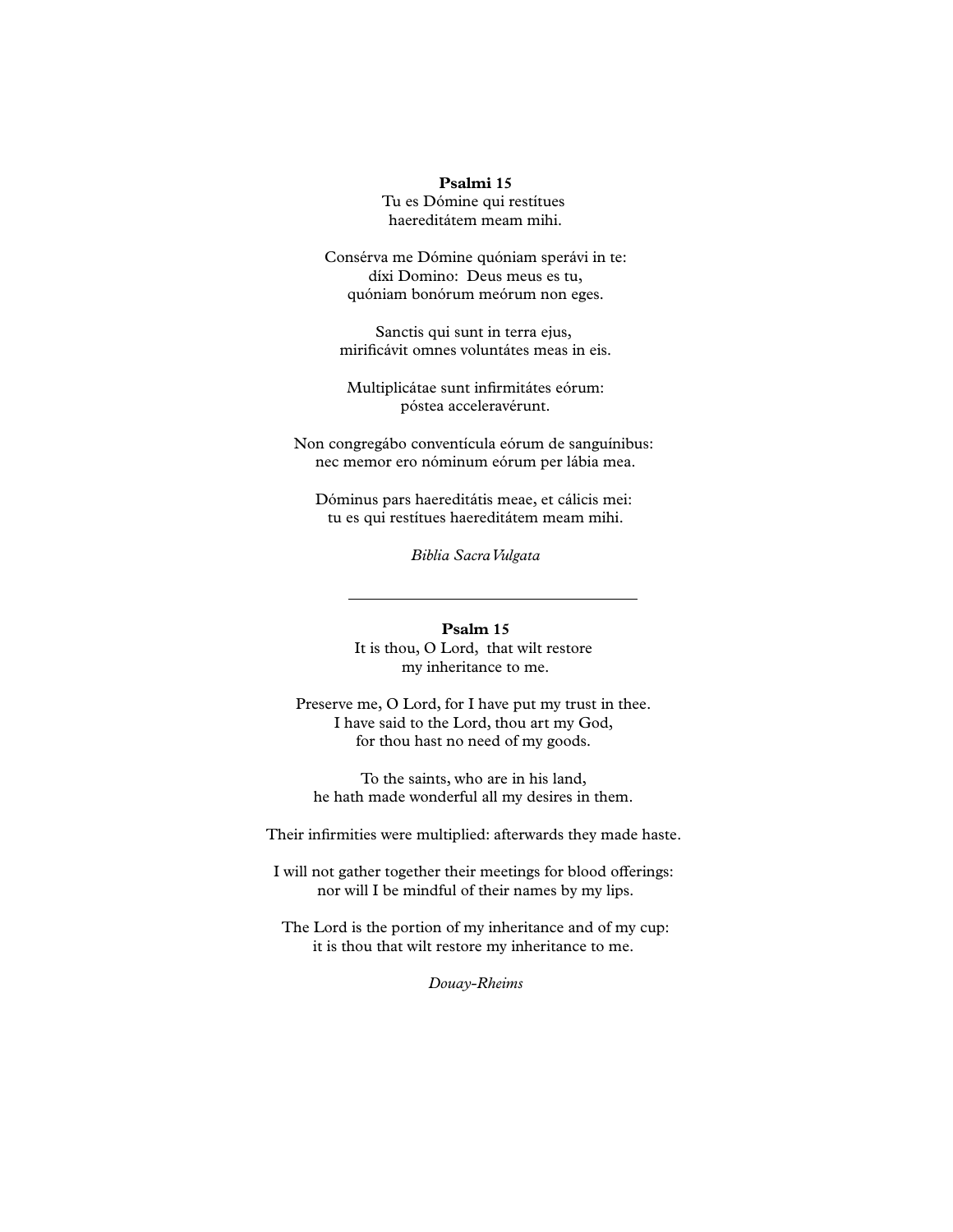## **Psalmi 15**

Tu es Dómine qui restítues haereditátem meam mihi.

Consérva me Dómine quóniam sperávi in te: díxi Domino: Deus meus es tu, quóniam bonórum meórum non eges.

Sanctis qui sunt in terra ejus,<br>mirificávit omnes voluntátes meas in eis.

Multiplicátae sunt infirmitátes eórum: póstea acceleravérunt.

Non congregábo conventícula eórum de sanguínibus: nec memor ero nóminum eórum per lábia mea.

Dóminus pars haereditátis meae, et cálicis mei: tu es qui restítues haereditátem meam mihi.

*Biblia SacraVulgata*

## **Psalm 15**

It is thou, O Lord, that wilt restore my inheritance to me.

Preserve me, O Lord, for I have put my trust in thee. I have said to the Lord, thou art my God, for thou hast no need of my goods.

To the saints, who are in his land, he hath made wonderful all my desires in them.

Their infirmities were multiplied: afterwards they made haste.

I will not gather together their meetings for blood offerings: nor will I be mindful of their names by my lips.

The Lord is the portion of my inheritance and of my cup: it is thou that wilt restore my inheritance to me.

*Douay-Rheims*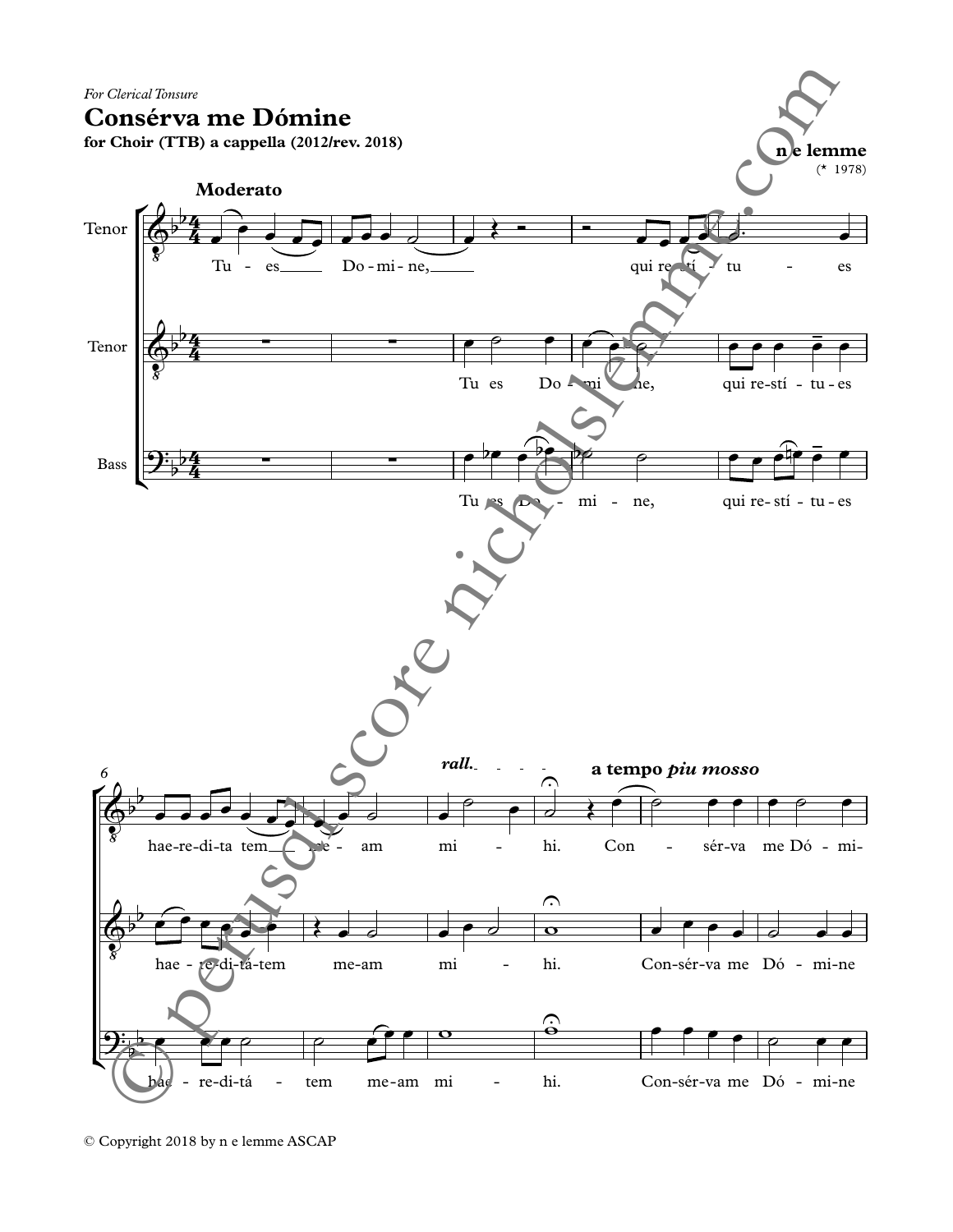

© Copyright 2018 by n e lemme ASCAP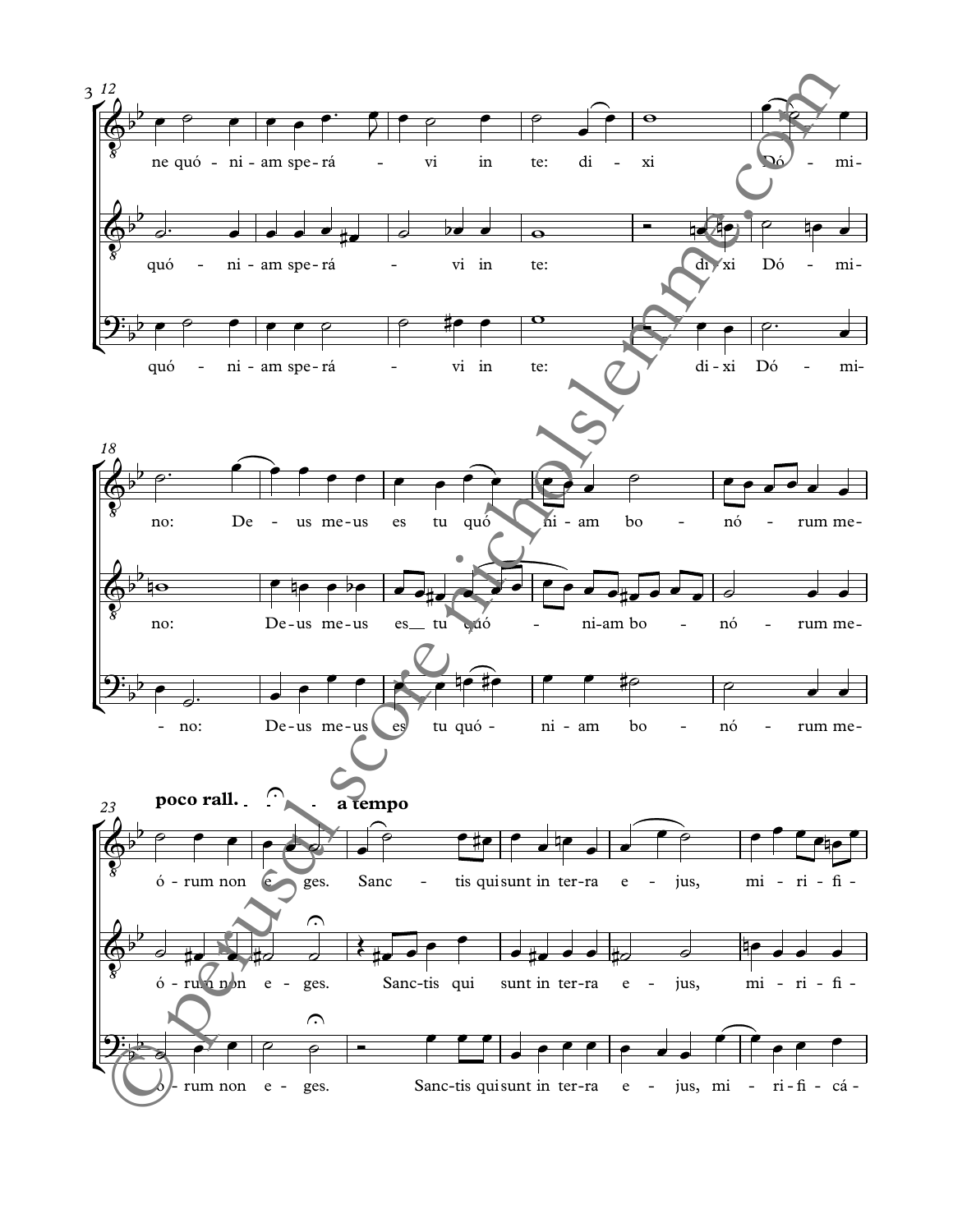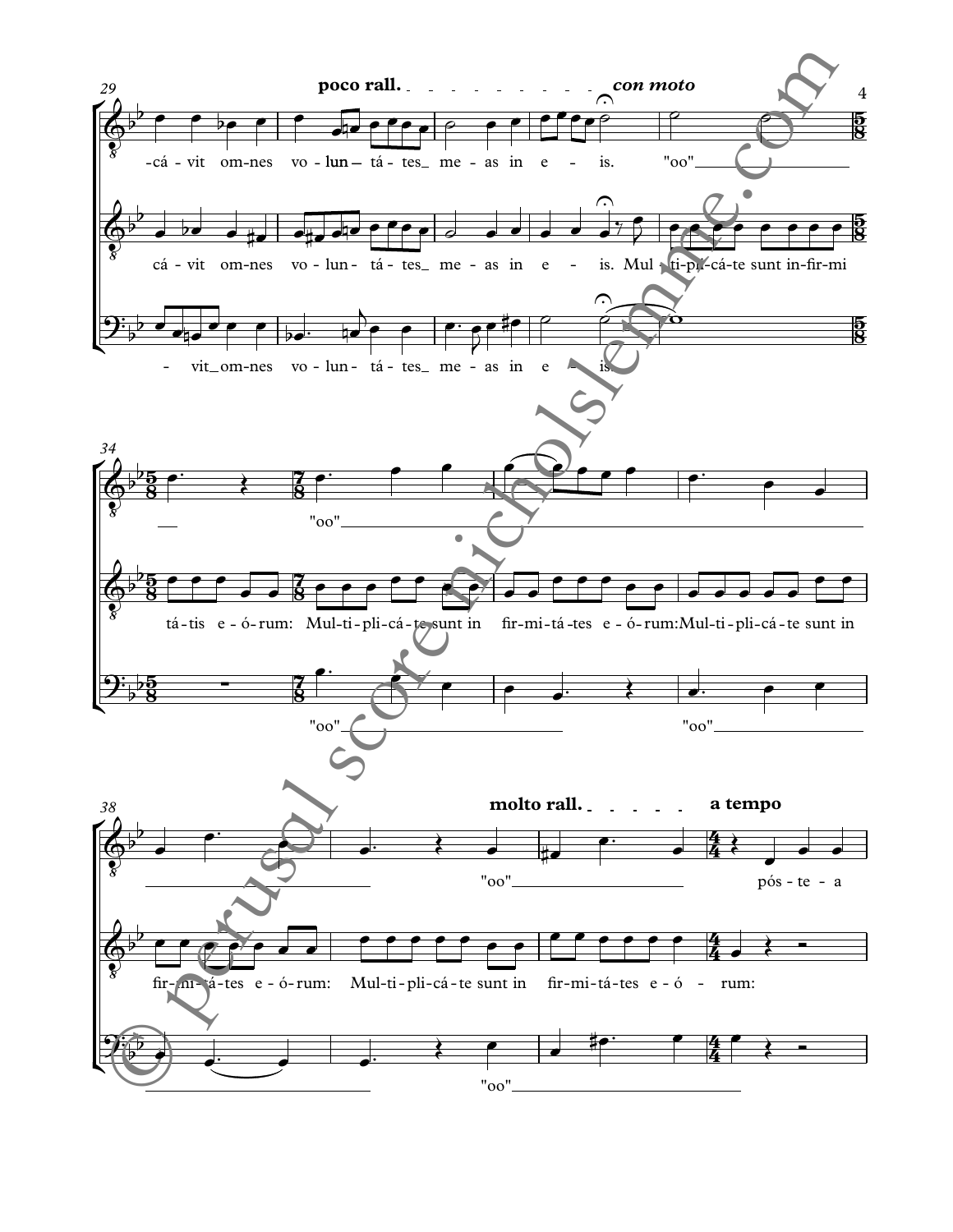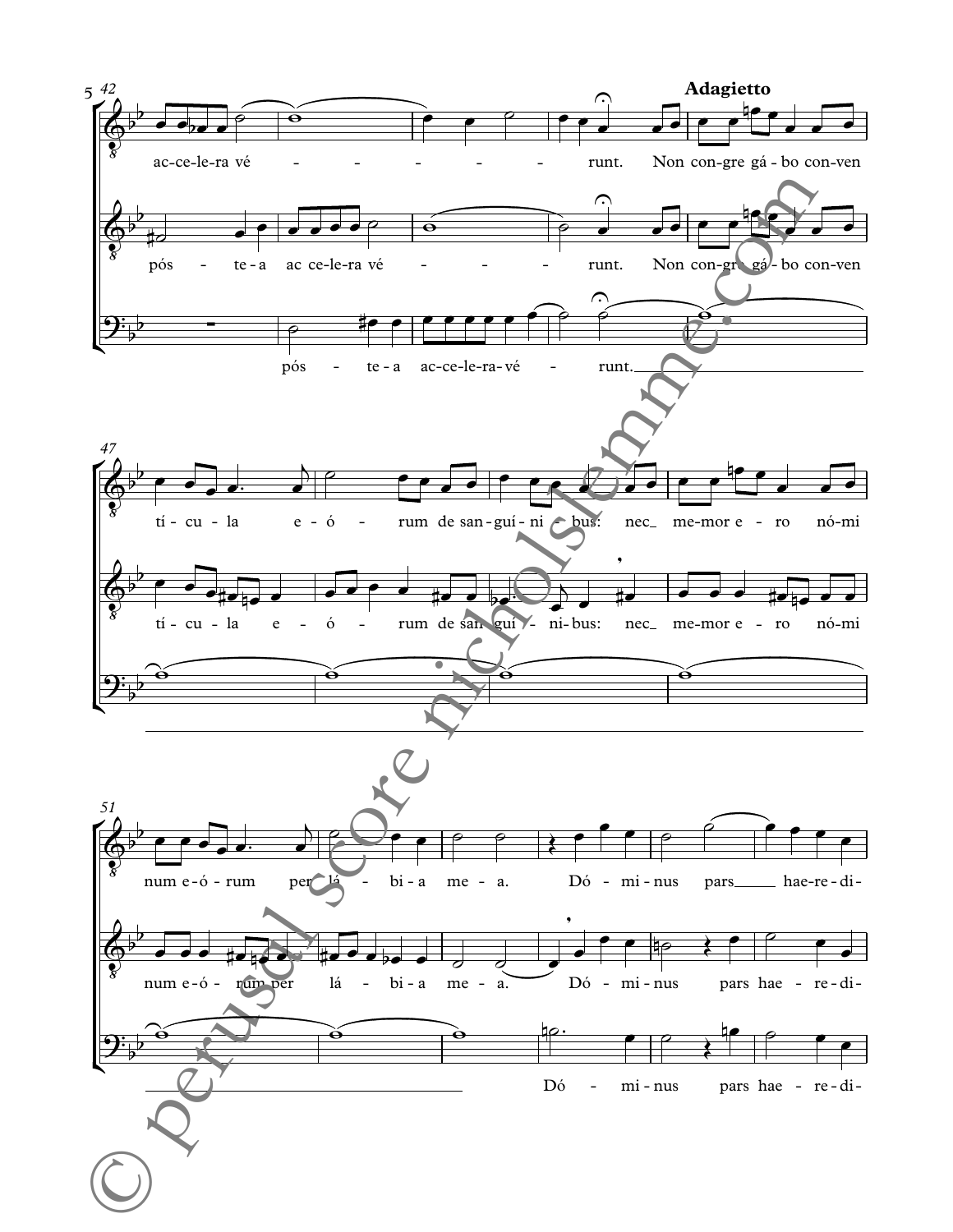